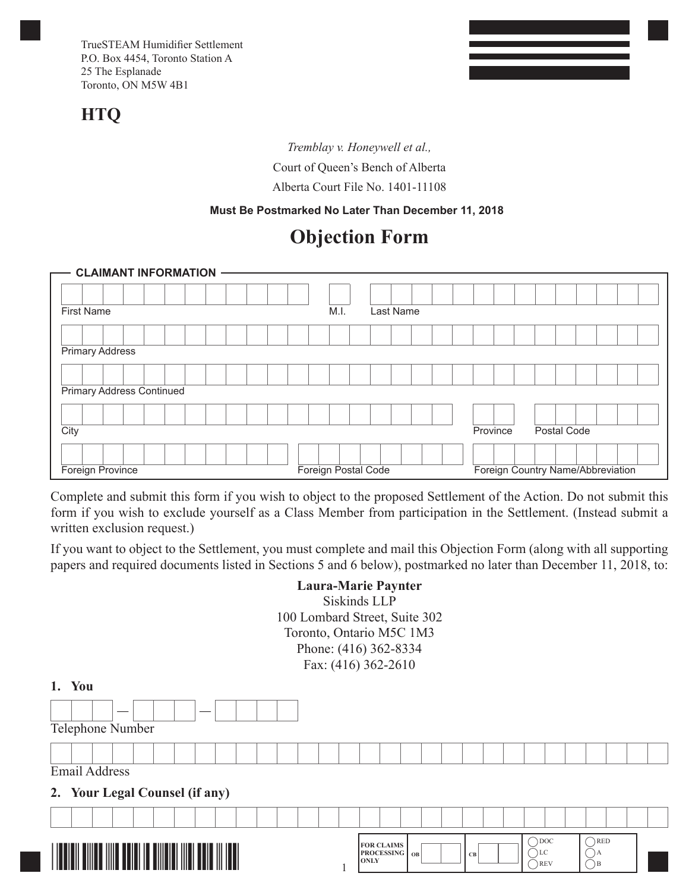## **HTQ**

*Tremblay v. Honeywell et al.,*  Court of Queen's Bench of Alberta Alberta Court File No. 1401-11108

#### **Must Be Postmarked No Later Than December 11, 2018**

# **Objection Form**

| <b>CLAIMANT INFORMATION</b>      |                     |           |          |                                   |
|----------------------------------|---------------------|-----------|----------|-----------------------------------|
|                                  |                     |           |          |                                   |
|                                  |                     |           |          |                                   |
| <b>First Name</b>                | M.I.                | Last Name |          |                                   |
|                                  |                     |           |          |                                   |
| <b>Primary Address</b>           |                     |           |          |                                   |
|                                  |                     |           |          |                                   |
| <b>Primary Address Continued</b> |                     |           |          |                                   |
|                                  |                     |           |          |                                   |
| City                             |                     |           | Province | Postal Code                       |
|                                  |                     |           |          |                                   |
| Foreign Province                 | Foreign Postal Code |           |          | Foreign Country Name/Abbreviation |

Complete and submit this form if you wish to object to the proposed Settlement of the Action. Do not submit this form if you wish to exclude yourself as a Class Member from participation in the Settlement. (Instead submit a written exclusion request.)

If you want to object to the Settlement, you must complete and mail this Objection Form (along with all supporting papers and required documents listed in Sections 5 and 6 below), postmarked no later than December 11, 2018, to:

## **Laura-Marie Paynter** Siskinds LLP 100 Lombard Street, Suite 302 Toronto, Ontario M5C 1M3 Phone: (416) 362-8334 Fax: (416) 362-2610

| You<br>1.                           |                                                                                                                                |
|-------------------------------------|--------------------------------------------------------------------------------------------------------------------------------|
| Telephone Number                    |                                                                                                                                |
|                                     |                                                                                                                                |
| <b>Email Address</b>                |                                                                                                                                |
| 2. Your Legal Counsel (if any)      |                                                                                                                                |
|                                     |                                                                                                                                |
| IIIII<br>IIII<br>IIII<br>Ш<br>TIIII | $\bigcap$ RED<br>$\bigcirc$ DOC<br><b>FOR CLAIMS</b><br><b>PROCESSING</b>   OB<br>CLC<br><b>CB</b><br><b>ONLY</b><br>REV<br>λE |